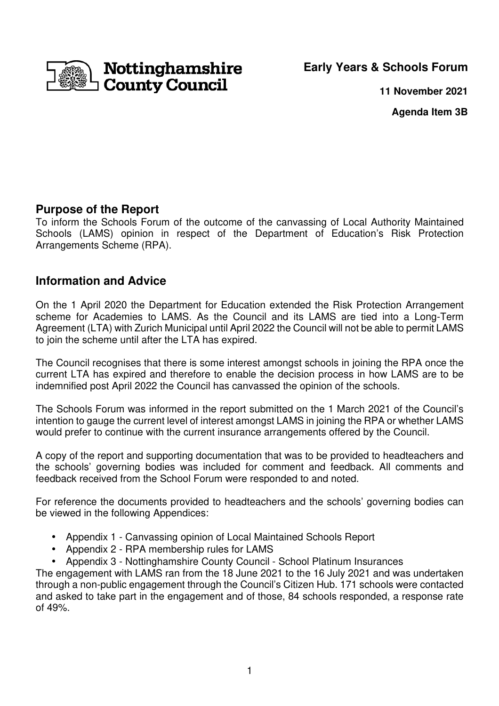Nottinghamshire **County Council** 

**Early Years & Schools Forum**

**11 November 2021**

**Agenda Item 3B** 

## **Purpose of the Report**

To inform the Schools Forum of the outcome of the canvassing of Local Authority Maintained Schools (LAMS) opinion in respect of the Department of Education's Risk Protection Arrangements Scheme (RPA).

# **Information and Advice**

On the 1 April 2020 the Department for Education extended the Risk Protection Arrangement scheme for Academies to LAMS. As the Council and its LAMS are tied into a Long-Term Agreement (LTA) with Zurich Municipal until April 2022 the Council will not be able to permit LAMS to join the scheme until after the LTA has expired.

The Council recognises that there is some interest amongst schools in joining the RPA once the current LTA has expired and therefore to enable the decision process in how LAMS are to be indemnified post April 2022 the Council has canvassed the opinion of the schools.

The Schools Forum was informed in the report submitted on the 1 March 2021 of the Council's intention to gauge the current level of interest amongst LAMS in joining the RPA or whether LAMS would prefer to continue with the current insurance arrangements offered by the Council.

A copy of the report and supporting documentation that was to be provided to headteachers and the schools' governing bodies was included for comment and feedback. All comments and feedback received from the School Forum were responded to and noted.

For reference the documents provided to headteachers and the schools' governing bodies can be viewed in the following Appendices:

- Appendix 1 Canvassing opinion of Local Maintained Schools Report
- Appendix 2 RPA membership rules for LAMS
- Appendix 3 Nottinghamshire County Council School Platinum Insurances

The engagement with LAMS ran from the 18 June 2021 to the 16 July 2021 and was undertaken through a non-public engagement through the Council's Citizen Hub. 171 schools were contacted and asked to take part in the engagement and of those, 84 schools responded, a response rate of 49%.